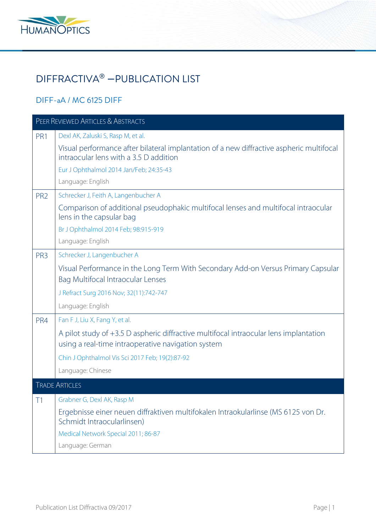

## DIFFRACTIVA® − PUBLICATION LIST

## DIFF-aA / MC 6125 DIFF

| PEER REVIEWED ARTICLES & ABSTRACTS |                                                                                                                                             |  |
|------------------------------------|---------------------------------------------------------------------------------------------------------------------------------------------|--|
| PR1                                | Dexl AK, Zaluski S, Rasp M, et al.                                                                                                          |  |
|                                    | Visual performance after bilateral implantation of a new diffractive aspheric multifocal<br>intraocular lens with a 3.5 D addition          |  |
|                                    | Eur J Ophthalmol 2014 Jan/Feb; 24:35-43                                                                                                     |  |
|                                    | Language: English                                                                                                                           |  |
| PR <sub>2</sub>                    | Schrecker J, Feith A, Langenbucher A                                                                                                        |  |
|                                    | Comparison of additional pseudophakic multifocal lenses and multifocal intraocular<br>lens in the capsular bag                              |  |
|                                    | Br J Ophthalmol 2014 Feb; 98:915-919                                                                                                        |  |
|                                    | Language: English                                                                                                                           |  |
| PR <sub>3</sub>                    | Schrecker J, Langenbucher A                                                                                                                 |  |
|                                    | Visual Performance in the Long Term With Secondary Add-on Versus Primary Capsular<br>Bag Multifocal Intraocular Lenses                      |  |
|                                    | J Refract Surg 2016 Nov; 32(11):742-747                                                                                                     |  |
|                                    | Language: English                                                                                                                           |  |
| PR4                                | Fan F J, Liu X, Fang Y, et al.                                                                                                              |  |
|                                    | A pilot study of +3.5 D aspheric diffractive multifocal intraocular lens implantation<br>using a real-time intraoperative navigation system |  |
|                                    | Chin J Ophthalmol Vis Sci 2017 Feb; 19(2):87-92                                                                                             |  |
|                                    | Language: Chinese                                                                                                                           |  |
| <b>TRADE ARTICLES</b>              |                                                                                                                                             |  |
| T1                                 | Grabner G, Dexl AK, Rasp M                                                                                                                  |  |
|                                    | Ergebnisse einer neuen diffraktiven multifokalen Intraokularlinse (MS 6125 von Dr.<br>Schmidt Intraocularlinsen)                            |  |
|                                    | Medical Network Special 2011; 86-87                                                                                                         |  |
|                                    | Language: German                                                                                                                            |  |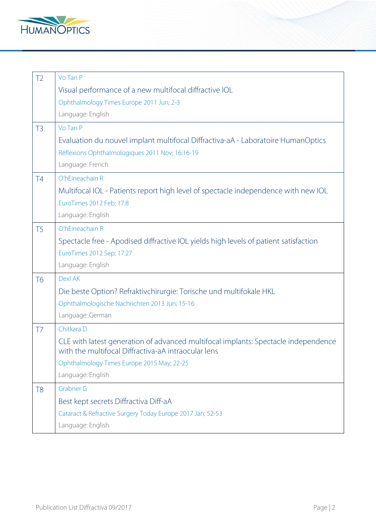

| T <sub>2</sub> | Vo Tan P                                                                                                                                  |
|----------------|-------------------------------------------------------------------------------------------------------------------------------------------|
|                | Visual performance of a new multifocal diffractive IOL                                                                                    |
|                | Ophthalmology Times Europe 2011 Jun; 2-3                                                                                                  |
|                | Language: English                                                                                                                         |
| T <sub>3</sub> | Vo Tan P                                                                                                                                  |
|                | Evaluation du nouvel implant multifocal Diffractiva-aA - Laboratoire HumanOptics                                                          |
|                | Réflexions Ophthalmologiques 2011 Nov; 16:16-19                                                                                           |
|                | Language: French                                                                                                                          |
| <b>T4</b>      | O'hEineachain R                                                                                                                           |
|                | Multifocal IOL - Patients report high level of spectacle independence with new IOL                                                        |
|                | EuroTimes 2012 Feb; 17:8                                                                                                                  |
|                | Language: English                                                                                                                         |
| T <sub>5</sub> | O'hEineachain R                                                                                                                           |
|                | Spectacle free - Apodised diffractive IOL yields high levels of patient satisfaction                                                      |
|                | EuroTimes 2012 Sep; 17:27                                                                                                                 |
|                | Language: English                                                                                                                         |
| <b>T6</b>      | <b>Dexl AK</b>                                                                                                                            |
|                | Die beste Option? Refraktivchirurgie: Torische und multifokale HKL                                                                        |
|                | Ophthalmologische Nachrichten 2013 Jun; 15-16                                                                                             |
|                | Language: German                                                                                                                          |
| T7             | Chitkara D                                                                                                                                |
|                | CLE with latest generation of advanced multifocal implants: Spectacle independence<br>with the multifocal Diffractiva-aA intraocular lens |
|                | Ophthalmology Times Europe 2015 May; 22-25                                                                                                |
|                | Language: English                                                                                                                         |
| T <sub>8</sub> | <b>Grabner G</b>                                                                                                                          |
|                | Best kept secrets Diffractiva Diff-aA                                                                                                     |
|                | Cataract & Refractive Surgery Today Europe 2017 Jan; 52-53                                                                                |
|                | Language: English                                                                                                                         |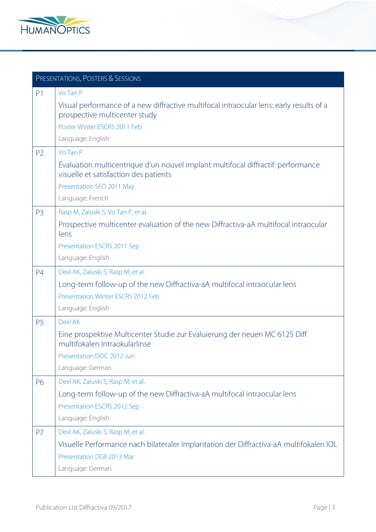

|                | PRESENTATIONS, POSTERS & SESSIONS                                                                                         |  |  |
|----------------|---------------------------------------------------------------------------------------------------------------------------|--|--|
| P <sub>1</sub> | Vo Tan P                                                                                                                  |  |  |
|                | Visual performance of a new diffractive multifocal intraocular lens: early results of a<br>prospective multicenter study  |  |  |
|                | Poster Winter ESCRS 2011 Feb                                                                                              |  |  |
|                | Language: English                                                                                                         |  |  |
| P <sub>2</sub> | Vo Tan P                                                                                                                  |  |  |
|                | Evaluation multicentrique d'un nouvel implant multifocal diffractif: performance<br>visuelle et satisfaction des patients |  |  |
|                | Presentation SFO 2011 May                                                                                                 |  |  |
|                | Language: French                                                                                                          |  |  |
| P <sub>3</sub> | Rasp M, Zaluski S, Vo Tan P, et al.                                                                                       |  |  |
|                | Prospective multicenter evaluation of the new Diffractiva-aA multifocal intraocular<br>lens                               |  |  |
|                | Presentation ESCRS 2011 Sep                                                                                               |  |  |
|                | Language: English                                                                                                         |  |  |
| P <sub>4</sub> | Dexl AK, Zaluski S, Rasp M, et al.                                                                                        |  |  |
|                | Long-term follow-up of the new Diffractiva-aA multifocal intraocular lens                                                 |  |  |
|                | Presentation Winter ESCRS 2012 Feb                                                                                        |  |  |
|                | Language: English                                                                                                         |  |  |
| P <sub>5</sub> | <b>Dexl AK</b>                                                                                                            |  |  |
|                | Eine prospektive Multicenter Studie zur Evaluierung der neuen MC 6125 Diff<br>multifokalen Intraokularlinse               |  |  |
|                | Presentation DOC 2012 Jun                                                                                                 |  |  |
|                | Language: German                                                                                                          |  |  |
| P6             | Dexl AK, Zaluski S, Rasp M, et al.                                                                                        |  |  |
|                | Long-term follow-up of the new Diffractiva-aA multifocal intraocular lens                                                 |  |  |
|                | Presentation ESCRS 2012 Sep                                                                                               |  |  |
|                | Language: English                                                                                                         |  |  |
| P <sub>7</sub> | Dexl AK, Zaluski S, Rasp M, et al.                                                                                        |  |  |
|                | Visuelle Performance nach bilateraler Implantation der Diffractiva-aA multifokalen IOL<br>Presentation DGII 2013 Mar      |  |  |
|                | Language: German                                                                                                          |  |  |
|                |                                                                                                                           |  |  |